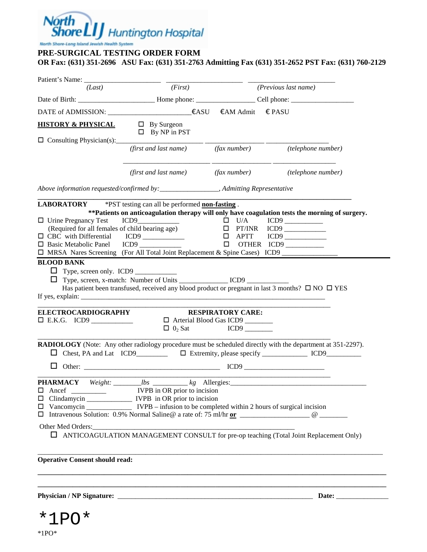# North<br>Shore LIJ Huntington Hospital

North Share-Lang Island Jewish Health System

#### **PRE-SURGICAL TESTING ORDER FORM**

**OR Fax: (631) 351-2696 ASU Fax: (631) 351-2763 Admitting Fax (631) 351-2652 PST Fax: (631) 760-2129** 

| (Last)                                                                                                                                                         | (First)                                                                                                                                                                                                                                                                                                                                                                                           |                                                                 | (Previous last name)                                                                                                                                                                             |
|----------------------------------------------------------------------------------------------------------------------------------------------------------------|---------------------------------------------------------------------------------------------------------------------------------------------------------------------------------------------------------------------------------------------------------------------------------------------------------------------------------------------------------------------------------------------------|-----------------------------------------------------------------|--------------------------------------------------------------------------------------------------------------------------------------------------------------------------------------------------|
|                                                                                                                                                                |                                                                                                                                                                                                                                                                                                                                                                                                   |                                                                 |                                                                                                                                                                                                  |
|                                                                                                                                                                | DATE of ADMISSION: ____________________________€ASU                                                                                                                                                                                                                                                                                                                                               | $\epsilon$ AM Admit $\epsilon$ PASU                             |                                                                                                                                                                                                  |
| <b>HISTORY &amp; PHYSICAL</b>                                                                                                                                  | $\Box$ By Surgeon<br>$\Box$ By NP in PST                                                                                                                                                                                                                                                                                                                                                          |                                                                 |                                                                                                                                                                                                  |
| $\Box$ Consulting Physician(s): $\Box$                                                                                                                         | (first and last name) (fax number)                                                                                                                                                                                                                                                                                                                                                                |                                                                 | (telephone number)                                                                                                                                                                               |
|                                                                                                                                                                | (first and last name)                                                                                                                                                                                                                                                                                                                                                                             |                                                                 | (fax number) (telephone number)                                                                                                                                                                  |
|                                                                                                                                                                |                                                                                                                                                                                                                                                                                                                                                                                                   |                                                                 |                                                                                                                                                                                                  |
| $\Box$ Urine Pregnancy Test<br>(Required for all females of child bearing age)<br>$\Box$ CBC with Differential<br>□ Basic Metabolic Panel<br><b>BLOOD BANK</b> | LABORATORY *PST testing can all be performed non-fasting.<br>$ICD9$ $\Box$ $U/A$<br>ICD9 and the state of the state of the state of the state of the state of the state of the state of the state of the state of the state of the state of the state of the state of the state of the state of the state of the s<br>□ MRSA Nares Screening (For All Total Joint Replacement & Spine Cases) ICD9 | $\Box$<br><b>APTT</b><br>$\Box$                                 | ** Patients on anticoagulation therapy will only have coagulation tests the morning of surgery.<br>OTHER ICD9                                                                                    |
| Type, screen only. ICD9<br><b>ELECTROCARDIOGRAPHY</b>                                                                                                          | Type, screen, x-match: Number of Units _____________________ICD9 _______________                                                                                                                                                                                                                                                                                                                  | <b>RESPIRATORY CARE:</b>                                        | Has patient been transfused, received any blood product or pregnant in last 3 months? $\Box$ NO $\Box$ YES                                                                                       |
|                                                                                                                                                                |                                                                                                                                                                                                                                                                                                                                                                                                   | □ Arterial Blood Gas ICD9<br>$\Box$ 0 <sub>2</sub> Sat ICD9 ___ |                                                                                                                                                                                                  |
|                                                                                                                                                                |                                                                                                                                                                                                                                                                                                                                                                                                   |                                                                 | RADIOLOGY (Note: Any other radiology procedure must be scheduled directly with the department at 351-2297).<br>$\Box$ Chest, PA and Lat ICD9 $\Box$ Extremity, please specify $\Box$ ICD9 $\Box$ |
| $\Box$                                                                                                                                                         |                                                                                                                                                                                                                                                                                                                                                                                                   |                                                                 |                                                                                                                                                                                                  |
|                                                                                                                                                                | □ Clindamycin ________________ IVPB in OR prior to incision<br>Other Med Orders:                                                                                                                                                                                                                                                                                                                  |                                                                 |                                                                                                                                                                                                  |
|                                                                                                                                                                |                                                                                                                                                                                                                                                                                                                                                                                                   |                                                                 | <b>I</b> ANTICOAGULATION MANAGEMENT CONSULT for pre-op teaching (Total Joint Replacement Only)                                                                                                   |
| <b>Operative Consent should read:</b>                                                                                                                          |                                                                                                                                                                                                                                                                                                                                                                                                   |                                                                 |                                                                                                                                                                                                  |
|                                                                                                                                                                |                                                                                                                                                                                                                                                                                                                                                                                                   |                                                                 |                                                                                                                                                                                                  |

 $*1PO*$